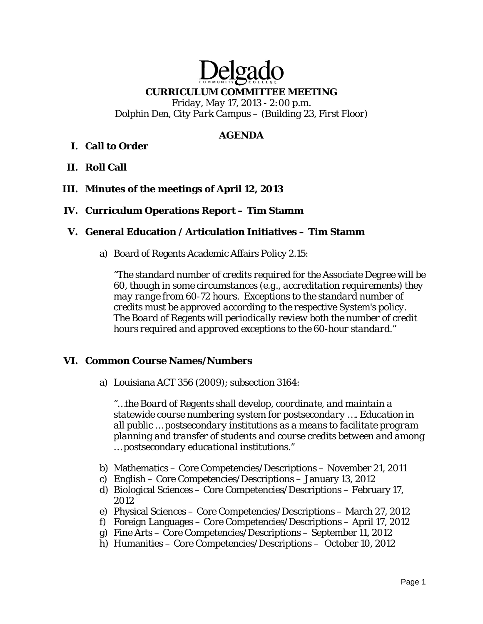# Delga **CURRICULUM COMMITTEE MEETING**  *Friday, May 17, 2013 - 2:00 p.m. Dolphin Den, City Park Campus – (Building 23, First Floor)*

#### **AGENDA**

# **I. Call to Order**

**II. Roll Call** 

#### **III. Minutes of the meetings of April 12, 2013**

#### **IV. Curriculum Operations Report – Tim Stamm**

#### **V. General Education / Articulation Initiatives – Tim Stamm**

a) Board of Regents Academic Affairs Policy 2.15:

*"The standard number of credits required for the Associate Degree will be 60, though in some circumstances (e.g., accreditation requirements) they may range from 60-72 hours. Exceptions to the standard number of credits must be approved according to the respective System's policy. The Board of Regents will periodically review both the number of credit hours required and approved exceptions to the 60-hour standard."*

#### **VI. Common Course Names/Numbers**

a) Louisiana ACT 356 (2009); subsection 3164:

*"…the Board of Regents shall develop, coordinate, and maintain a statewide course numbering system for postsecondary …. Education in all public … postsecondary institutions as a means to facilitate program planning and transfer of students and course credits between and among … postsecondary educational institutions."* 

- b) Mathematics Core Competencies/Descriptions November 21, 2011
- c) English Core Competencies/Descriptions January 13, 2012
- d) Biological Sciences Core Competencies/Descriptions February 17, 2012
- e) Physical Sciences Core Competencies/Descriptions March 27, 2012
- f) Foreign Languages Core Competencies/Descriptions April 17, 2012
- g) Fine Arts Core Competencies/Descriptions September 11, 2012
- h) Humanities Core Competencies/Descriptions October 10, 2012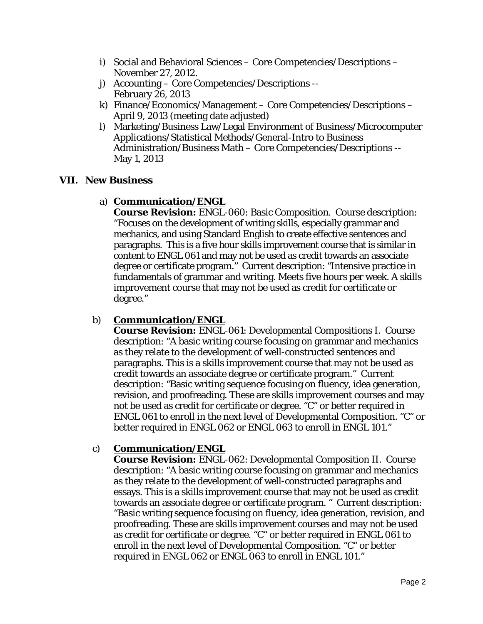- i) Social and Behavioral Sciences Core Competencies/Descriptions November 27, 2012.
- j) Accounting Core Competencies/Descriptions -- February 26, 2013
- k) Finance/Economics/Management Core Competencies/Descriptions April 9, 2013 (meeting date adjusted)
- l) Marketing/Business Law/Legal Environment of Business/Microcomputer Applications/Statistical Methods/General-Intro to Business Administration/Business Math – Core Competencies/Descriptions -- May 1, 2013

### **VII. New Business**

# a) **Communication/ENGL**

**Course Revision:** ENGL-060: Basic Composition. Course description: "Focuses on the development of writing skills, especially grammar and mechanics, and using Standard English to create effective sentences and paragraphs. This is a five hour skills improvement course that is similar in content to ENGL 061 and may not be used as credit towards an associate degree or certificate program." Current description: "Intensive practice in fundamentals of grammar and writing. Meets five hours per week. A skills improvement course that may not be used as credit for certificate or degree."

# b) **Communication/ENGL**

**Course Revision:** ENGL-061: Developmental Compositions I. Course description: "A basic writing course focusing on grammar and mechanics as they relate to the development of well-constructed sentences and paragraphs. This is a skills improvement course that may not be used as credit towards an associate degree or certificate program." Current description: "Basic writing sequence focusing on fluency, idea generation, revision, and proofreading. These are skills improvement courses and may not be used as credit for certificate or degree. "C" or better required in ENGL 061 to enroll in the next level of Developmental Composition. "C" or better required in ENGL 062 or ENGL 063 to enroll in ENGL 101."

# c) **Communication/ENGL**

**Course Revision:** ENGL-062: Developmental Composition II. Course description: "A basic writing course focusing on grammar and mechanics as they relate to the development of well-constructed paragraphs and essays. This is a skills improvement course that may not be used as credit towards an associate degree or certificate program. " Current description: "Basic writing sequence focusing on fluency, idea generation, revision, and proofreading. These are skills improvement courses and may not be used as credit for certificate or degree. "C" or better required in ENGL 061 to enroll in the next level of Developmental Composition. "C" or better required in ENGL 062 or ENGL 063 to enroll in ENGL 101."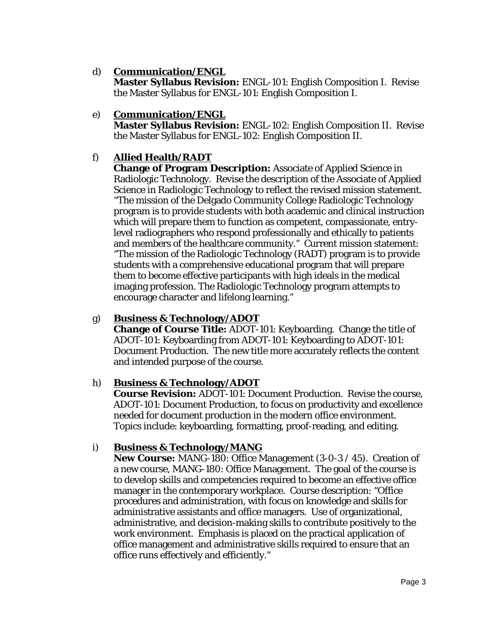### d) **Communication/ENGL**

**Master Syllabus Revision:** ENGL-101: English Composition I. Revise the Master Syllabus for ENGL-101: English Composition I.

e) **Communication/ENGL** 

**Master Syllabus Revision:** ENGL-102: English Composition II. Revise the Master Syllabus for ENGL-102: English Composition II.

# f) **Allied Health/RADT**

**Change of Program Description:** Associate of Applied Science in Radiologic Technology. Revise the description of the Associate of Applied Science in Radiologic Technology to reflect the revised mission statement. "The mission of the Delgado Community College Radiologic Technology program is to provide students with both academic and clinical instruction which will prepare them to function as competent, compassionate, entrylevel radiographers who respond professionally and ethically to patients and members of the healthcare community." Current mission statement: "The mission of the Radiologic Technology (RADT) program is to provide students with a comprehensive educational program that will prepare them to become effective participants with high ideals in the medical imaging profession. The Radiologic Technology program attempts to encourage character and lifelong learning."

# g) **Business & Technology/ADOT**

**Change of Course Title:** ADOT-101: Keyboarding. Change the title of ADOT-101: Keyboarding *from* ADOT-101: Keyboarding *to* ADOT-101: Document Production. The new title more accurately reflects the content and intended purpose of the course.

# h) **Business & Technology/ADOT**

**Course Revision:** ADOT-101: Document Production. Revise the course, ADOT-101: Document Production, to focus on productivity and excellence needed for document production in the modern office environment. Topics include: keyboarding, formatting, proof-reading, and editing.

# i) **Business & Technology/MANG**

**New Course:** MANG-180: Office Management (3-0-3 / 45). Creation of a new course, MANG-180: Office Management. The goal of the course is to develop skills and competencies required to become an effective office manager in the contemporary workplace. Course description: "Office procedures and administration, with focus on knowledge and skills for administrative assistants and office managers. Use of organizational, administrative, and decision-making skills to contribute positively to the work environment. Emphasis is placed on the practical application of office management and administrative skills required to ensure that an office runs effectively and efficiently."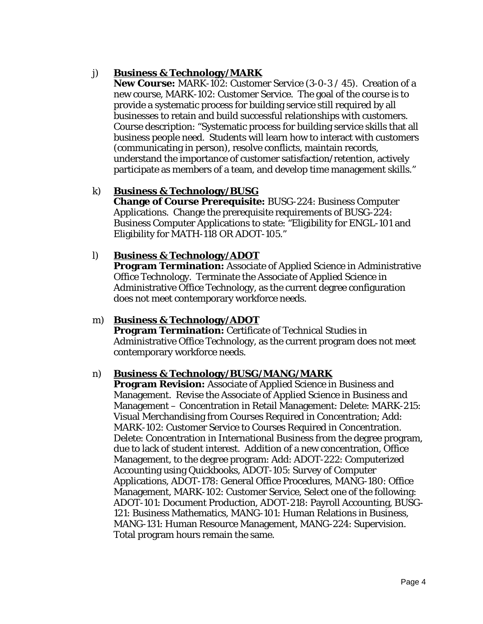# j) **Business & Technology/MARK**

**New Course:** MARK-102: Customer Service (3-0-3 / 45). Creation of a new course, MARK-102: Customer Service. The goal of the course is to provide a systematic process for building service still required by all businesses to retain and build successful relationships with customers. Course description: "Systematic process for building service skills that all business people need. Students will learn how to interact with customers (communicating in person), resolve conflicts, maintain records, understand the importance of customer satisfaction/retention, actively participate as members of a team, and develop time management skills."

### k) **Business & Technology/BUSG**

**Change of Course Prerequisite:** BUSG-224: Business Computer Applications. Change the prerequisite requirements of BUSG-224: Business Computer Applications to state: "Eligibility for ENGL-101 and Eligibility for MATH-118 OR ADOT-105."

#### l) **Business & Technology/ADOT**

**Program Termination:** Associate of Applied Science in Administrative Office Technology. Terminate the Associate of Applied Science in Administrative Office Technology, as the current degree configuration does not meet contemporary workforce needs.

#### m) **Business & Technology/ADOT**

**Program Termination:** Certificate of Technical Studies in Administrative Office Technology, as the current program does not meet contemporary workforce needs.

#### n) **Business & Technology/BUSG/MANG/MARK**

**Program Revision:** Associate of Applied Science in Business and Management. Revise the Associate of Applied Science in Business and Management – Concentration in Retail Management: Delete: MARK-215: Visual Merchandising from Courses Required in Concentration; Add: MARK-102: Customer Service to Courses Required in Concentration. Delete: Concentration in International Business from the degree program, due to lack of student interest. Addition of a new concentration, Office Management, to the degree program: Add: ADOT-222: Computerized Accounting using Quickbooks, ADOT-105: Survey of Computer Applications, ADOT-178: General Office Procedures, MANG-180: Office Management, MARK-102: Customer Service, Select one of the following: ADOT-101: Document Production, ADOT-218: Payroll Accounting, BUSG-121: Business Mathematics, MANG-101: Human Relations in Business, MANG-131: Human Resource Management, MANG-224: Supervision. Total program hours remain the same.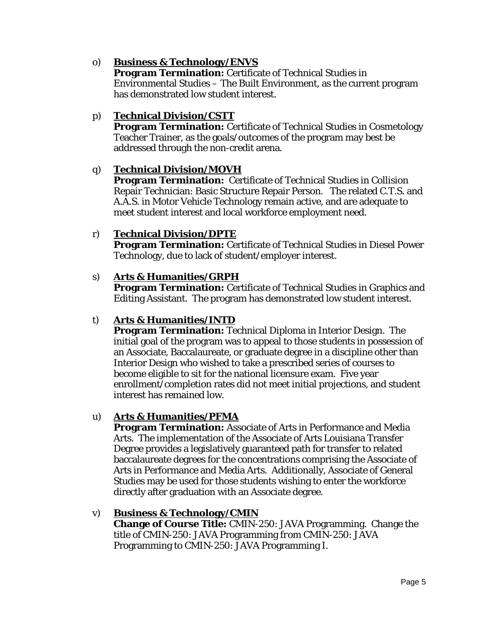# o) **Business & Technology/ENVS**

**Program Termination:** Certificate of Technical Studies in Environmental Studies – The Built Environment, as the current program has demonstrated low student interest.

### p) **Technical Division/CSTT**

**Program Termination:** Certificate of Technical Studies in Cosmetology Teacher Trainer, as the goals/outcomes of the program may best be addressed through the non-credit arena.

#### q) **Technical Division/MOVH**

**Program Termination:** Certificate of Technical Studies in Collision Repair Technician: Basic Structure Repair Person. The related C.T.S. and A.A.S. in Motor Vehicle Technology remain active, and are adequate to meet student interest and local workforce employment need.

### r) **Technical Division/DPTE**

**Program Termination:** Certificate of Technical Studies in Diesel Power Technology, due to lack of student/employer interest.

#### s) **Arts & Humanities/GRPH**

**Program Termination:** Certificate of Technical Studies in Graphics and Editing Assistant. The program has demonstrated low student interest.

# t) **Arts & Humanities/INTD**

**Program Termination:** Technical Diploma in Interior Design. The initial goal of the program was to appeal to those students in possession of an Associate, Baccalaureate, or graduate degree in a discipline other than Interior Design who wished to take a prescribed series of courses to become eligible to sit for the national licensure exam. Five year enrollment/completion rates did not meet initial projections, and student interest has remained low.

#### u) **Arts & Humanities/PFMA**

**Program Termination:** Associate of Arts in Performance and Media Arts. The implementation of the Associate of Arts Louisiana Transfer Degree provides a legislatively guaranteed path for transfer to related baccalaureate degrees for the concentrations comprising the Associate of Arts in Performance and Media Arts. Additionally, Associate of General Studies may be used for those students wishing to enter the workforce directly after graduation with an Associate degree.

#### v) **Business & Technology/CMIN**

**Change of Course Title:** CMIN-250: JAVA Programming. Change the title of CMIN-250: JAVA Programming *from* CMIN-250: JAVA Programming *to* CMIN-250: JAVA Programming I.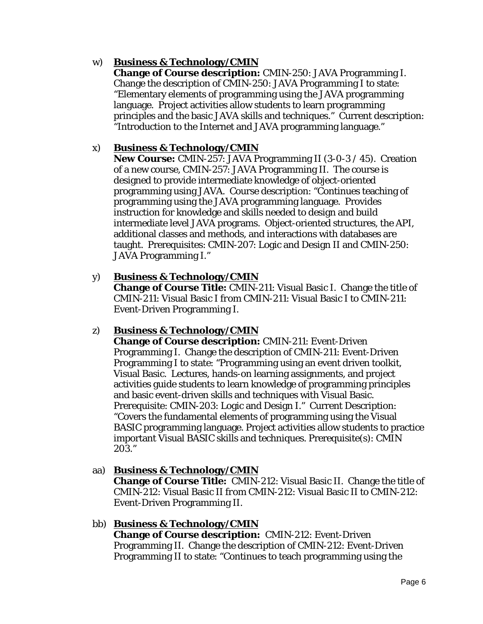# w) **Business & Technology/CMIN**

**Change of Course description:** CMIN-250: JAVA Programming I. Change the description of CMIN-250: JAVA Programming I to state: "Elementary elements of programming using the JAVA programming language. Project activities allow students to learn programming principles and the basic JAVA skills and techniques." Current description: "Introduction to the Internet and JAVA programming language."

#### x) **Business & Technology/CMIN**

**New Course:** CMIN-257: JAVA Programming II (3-0-3 / 45). Creation of a new course, CMIN-257: JAVA Programming II. The course is designed to provide intermediate knowledge of object-oriented programming using JAVA. Course description: "Continues teaching of programming using the JAVA programming language. Provides instruction for knowledge and skills needed to design and build intermediate level JAVA programs. Object-oriented structures, the API, additional classes and methods, and interactions with databases are taught. Prerequisites: CMIN-207: Logic and Design II and CMIN-250: JAVA Programming I."

#### y) **Business & Technology/CMIN**

**Change of Course Title:** CMIN-211: Visual Basic I. Change the title of CMIN-211: Visual Basic I *from* CMIN-211: Visual Basic I *to* CMIN-211: Event-Driven Programming I.

# z) **Business & Technology/CMIN**

**Change of Course description:** CMIN-211: Event-Driven Programming I. Change the description of CMIN-211: Event-Driven Programming I to state: "Programming using an event driven toolkit, Visual Basic. Lectures, hands-on learning assignments, and project activities guide students to learn knowledge of programming principles and basic event-driven skills and techniques with Visual Basic. Prerequisite: CMIN-203: Logic and Design I." Current Description: "Covers the fundamental elements of programming using the Visual BASIC programming language. Project activities allow students to practice important Visual BASIC skills and techniques. Prerequisite(s): CMIN 203."

# aa) **Business & Technology/CMIN**

**Change of Course Title:** CMIN-212: Visual Basic II. Change the title of CMIN-212: Visual Basic II *from* CMIN-212: Visual Basic II *to* CMIN-212: Event-Driven Programming II.

#### bb) **Business & Technology/CMIN**

**Change of Course description:** CMIN-212: Event-Driven Programming II. Change the description of CMIN-212: Event-Driven Programming II to state: "Continues to teach programming using the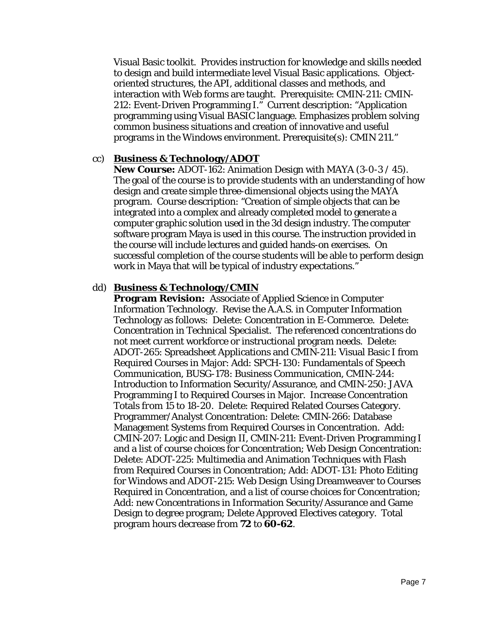Visual Basic toolkit. Provides instruction for knowledge and skills needed to design and build intermediate level Visual Basic applications. Objectoriented structures, the API, additional classes and methods, and interaction with Web forms are taught. Prerequisite: CMIN-211: CMIN-212: Event-Driven Programming I." Current description: "Application programming using Visual BASIC language. Emphasizes problem solving common business situations and creation of innovative and useful programs in the Windows environment. Prerequisite(s): CMIN 211."

#### cc) **Business & Technology/ADOT**

**New Course:** ADOT-162: Animation Design with MAYA (3-0-3 / 45). The goal of the course is to provide students with an understanding of how design and create simple three-dimensional objects using the MAYA program. Course description: "Creation of simple objects that can be integrated into a complex and already completed model to generate a computer graphic solution used in the 3d design industry. The computer software program Maya is used in this course. The instruction provided in the course will include lectures and guided hands-on exercises. On successful completion of the course students will be able to perform design work in Maya that will be typical of industry expectations."

#### dd) **Business & Technology/CMIN**

**Program Revision:** Associate of Applied Science in Computer Information Technology. Revise the A.A.S. in Computer Information Technology as follows: Delete: Concentration in E-Commerce. Delete: Concentration in Technical Specialist. The referenced concentrations do not meet current workforce or instructional program needs. Delete: ADOT-265: Spreadsheet Applications and CMIN-211: Visual Basic I from Required Courses in Major: Add: SPCH-130: Fundamentals of Speech Communication, BUSG-178: Business Communication, CMIN-244: Introduction to Information Security/Assurance, and CMIN-250: JAVA Programming I to Required Courses in Major. Increase Concentration Totals *from* 15 *to* 18-20. Delete: Required Related Courses Category. Programmer/Analyst Concentration: Delete: CMIN-266: Database Management Systems from Required Courses in Concentration. Add: CMIN-207: Logic and Design II, CMIN-211: Event-Driven Programming I and a list of course choices for Concentration; Web Design Concentration: Delete: ADOT-225: Multimedia and Animation Techniques with Flash from Required Courses in Concentration; Add: ADOT-131: Photo Editing for Windows and ADOT-215: Web Design Using Dreamweaver to Courses Required in Concentration, and a list of course choices for Concentration; Add: new Concentrations in Information Security/Assurance and Game Design to degree program; Delete Approved Electives category. Total program hours decrease *from* **72** *to 60-62.*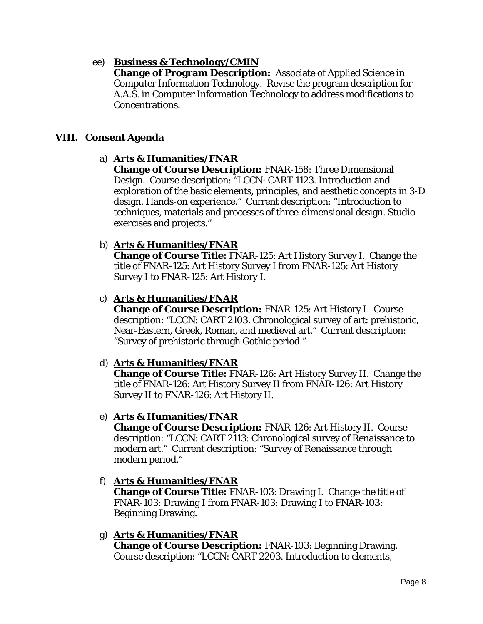### ee) **Business & Technology/CMIN**

**Change of Program Description:** Associate of Applied Science in Computer Information Technology. Revise the program description for A.A.S. in Computer Information Technology to address modifications to Concentrations.

#### **VIII. Consent Agenda**

#### a) **Arts & Humanities/FNAR**

**Change of Course Description:** FNAR-158: Three Dimensional Design. Course description: "LCCN: CART 1123. Introduction and exploration of the basic elements, principles, and aesthetic concepts in 3-D design. Hands-on experience." Current description: "Introduction to techniques, materials and processes of three-dimensional design. Studio exercises and projects."

#### b) **Arts & Humanities/FNAR**

**Change of Course Title:** FNAR-125: Art History Survey I. Change the title of FNAR-125: Art History Survey I *from* FNAR-125: Art History Survey I *to* FNAR-125: Art History I.

### c) **Arts & Humanities/FNAR**

**Change of Course Description:** FNAR-125: Art History I. Course description: "LCCN: CART 2103. Chronological survey of art: prehistoric, Near-Eastern, Greek, Roman, and medieval art." Current description: "Survey of prehistoric through Gothic period."

#### d) **Arts & Humanities/FNAR**

**Change of Course Title:** FNAR-126: Art History Survey II. Change the title of FNAR-126: Art History Survey II *from* FNAR-126: Art History Survey II *to* FNAR-126: Art History II.

#### e) **Arts & Humanities/FNAR**

**Change of Course Description:** FNAR-126: Art History II. Course description: "LCCN: CART 2113: Chronological survey of Renaissance to modern art." Current description: "Survey of Renaissance through modern period."

#### f) **Arts & Humanities/FNAR**

**Change of Course Title:** FNAR-103: Drawing I. Change the title of FNAR-103: Drawing I *from* FNAR-103: Drawing I *to* FNAR-103: Beginning Drawing.

#### g) **Arts & Humanities/FNAR**

**Change of Course Description:** FNAR-103: Beginning Drawing. Course description: "LCCN: CART 2203. Introduction to elements,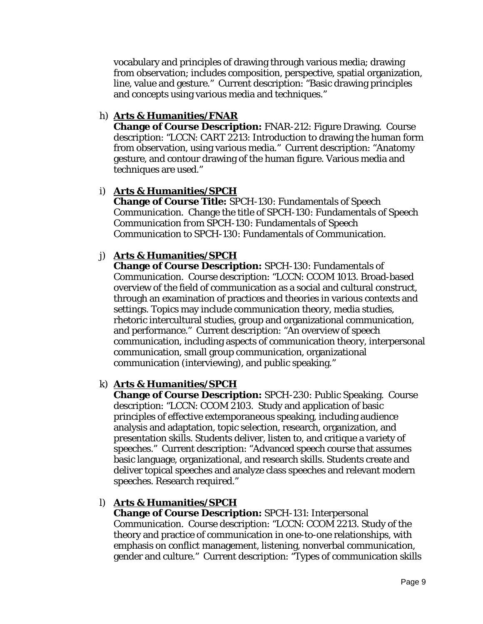vocabulary and principles of drawing through various media; drawing from observation; includes composition, perspective, spatial organization, line, value and gesture." Current description: "Basic drawing principles and concepts using various media and techniques."

### h) **Arts & Humanities/FNAR**

**Change of Course Description:** FNAR-212: Figure Drawing. Course description: "LCCN: CART 2213: Introduction to drawing the human form from observation, using various media." Current description: "Anatomy gesture, and contour drawing of the human figure. Various media and techniques are used."

### i) **Arts & Humanities/SPCH**

**Change of Course Title:** SPCH-130: Fundamentals of Speech Communication. Change the title of SPCH-130: Fundamentals of Speech Communication *from* SPCH-130: Fundamentals of Speech Communication *to* SPCH-130: Fundamentals of Communication.

# j) **Arts & Humanities/SPCH**

**Change of Course Description:** SPCH-130: Fundamentals of Communication. Course description: "LCCN: CCOM 1013. Broad-based overview of the field of communication as a social and cultural construct, through an examination of practices and theories in various contexts and settings. Topics may include communication theory, media studies, rhetoric intercultural studies, group and organizational communication, and performance." Current description: "An overview of speech communication, including aspects of communication theory, interpersonal communication, small group communication, organizational communication (interviewing), and public speaking."

#### k) **Arts & Humanities/SPCH**

**Change of Course Description:** SPCH-230: Public Speaking. Course description: "LCCN: CCOM 2103. Study and application of basic principles of effective extemporaneous speaking, including audience analysis and adaptation, topic selection, research, organization, and presentation skills. Students deliver, listen to, and critique a variety of speeches." Current description: "Advanced speech course that assumes basic language, organizational, and research skills. Students create and deliver topical speeches and analyze class speeches and relevant modern speeches. Research required."

#### l) **Arts & Humanities/SPCH**

**Change of Course Description:** SPCH-131: Interpersonal Communication. Course description: "LCCN: CCOM 2213. Study of the theory and practice of communication in one-to-one relationships, with emphasis on conflict management, listening, nonverbal communication, gender and culture." Current description: "Types of communication skills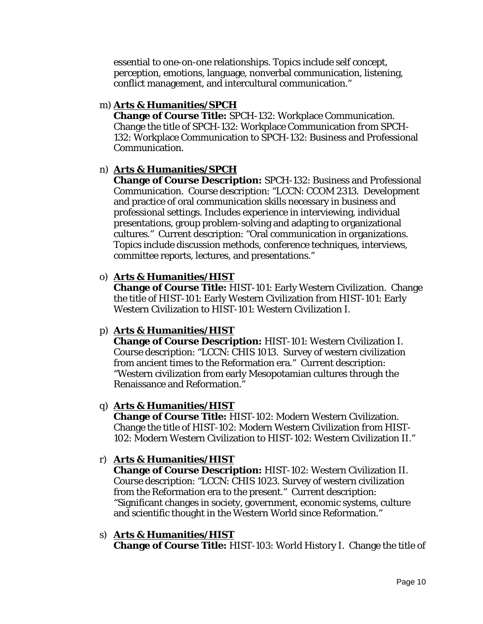essential to one-on-one relationships. Topics include self concept, perception, emotions, language, nonverbal communication, listening, conflict management, and intercultural communication."

#### m) **Arts & Humanities/SPCH**

**Change of Course Title:** SPCH-132: Workplace Communication. Change the title of SPCH-132: Workplace Communication *from* SPCH-132: Workplace Communication *to* SPCH-132: Business and Professional Communication.

#### n) **Arts & Humanities/SPCH**

**Change of Course Description:** SPCH-132: Business and Professional Communication. Course description: "LCCN: CCOM 2313. Development and practice of oral communication skills necessary in business and professional settings. Includes experience in interviewing, individual presentations, group problem-solving and adapting to organizational cultures." Current description: "Oral communication in organizations. Topics include discussion methods, conference techniques, interviews, committee reports, lectures, and presentations."

#### o) **Arts & Humanities/HIST**

**Change of Course Title:** HIST-101: Early Western Civilization. Change the title of HIST-101: Early Western Civilization *from* HIST-101: Early Western Civilization *to* HIST-101: Western Civilization I.

#### p) **Arts & Humanities/HIST**

**Change of Course Description:** HIST-101: Western Civilization I. Course description: "LCCN: CHIS 1013. Survey of western civilization from ancient times to the Reformation era." Current description: "Western civilization from early Mesopotamian cultures through the Renaissance and Reformation."

#### q) **Arts & Humanities/HIST**

**Change of Course Title:** HIST-102: Modern Western Civilization. Change the title of HIST-102: Modern Western Civilization *from* HIST-102: Modern Western Civilization *to* HIST-102: Western Civilization II."

#### r) **Arts & Humanities/HIST**

**Change of Course Description:** HIST-102: Western Civilization II. Course description: "LCCN: CHIS 1023. Survey of western civilization from the Reformation era to the present." Current description: "Significant changes in society, government, economic systems, culture and scientific thought in the Western World since Reformation."

#### s) **Arts & Humanities/HIST**

**Change of Course Title:** HIST-103: World History I. Change the title of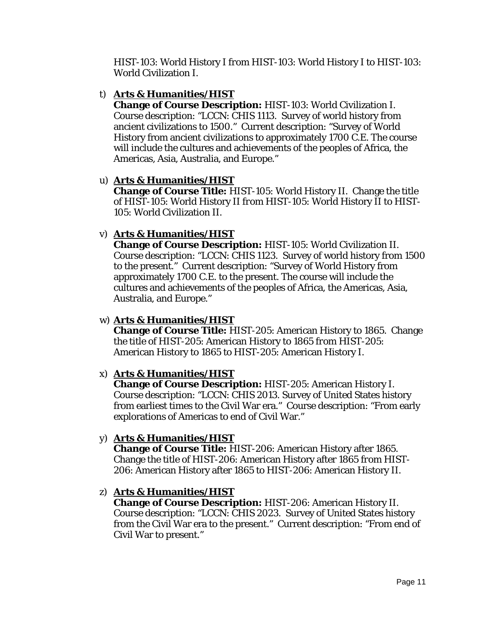HIST-103: World History I *from* HIST-103: World History I *to* HIST-103: World Civilization I.

### t) **Arts & Humanities/HIST**

**Change of Course Description:** HIST-103: World Civilization I. Course description: "LCCN: CHIS 1113. Survey of world history from ancient civilizations to 1500." Current description: "Survey of World History from ancient civilizations to approximately 1700 C.E. The course will include the cultures and achievements of the peoples of Africa, the Americas, Asia, Australia, and Europe."

### u) **Arts & Humanities/HIST**

**Change of Course Title:** HIST-105: World History II. Change the title of HIST-105: World History II *from* HIST-105: World History II *to* HIST-105: World Civilization II.

# v) **Arts & Humanities/HIST**

**Change of Course Description:** HIST-105: World Civilization II. Course description: "LCCN: CHIS 1123. Survey of world history from 1500 to the present." Current description: "Survey of World History from approximately 1700 C.E. to the present. The course will include the cultures and achievements of the peoples of Africa, the Americas, Asia, Australia, and Europe."

#### w) **Arts & Humanities/HIST**

**Change of Course Title:** HIST-205: American History to 1865. Change the title of HIST-205: American History to 1865 *from* HIST-205: American History to 1865 *to* HIST-205: American History I.

#### x) **Arts & Humanities/HIST**

**Change of Course Description:** HIST-205: American History I. Course description: "LCCN: CHIS 2013. Survey of United States history from earliest times to the Civil War era." Course description: "From early explorations of Americas to end of Civil War."

#### y) **Arts & Humanities/HIST**

**Change of Course Title:** HIST-206: American History after 1865. Change the title of HIST-206: American History after 1865 *from* HIST-206: American History after 1865 *to* HIST-206: American History II.

#### z) **Arts & Humanities/HIST**

**Change of Course Description:** HIST-206: American History II. Course description: "LCCN: CHIS 2023. Survey of United States history from the Civil War era to the present." Current description: "From end of Civil War to present."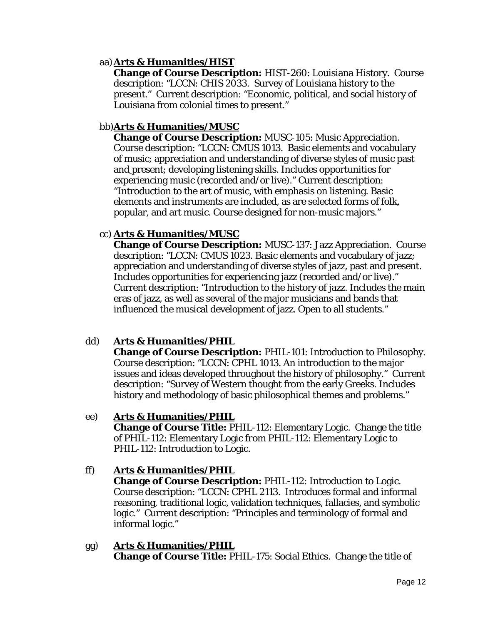#### aa)**Arts & Humanities/HIST**

**Change of Course Description:** HIST-260: Louisiana History. Course description: "LCCN: CHIS 2033. Survey of Louisiana history to the present." Current description: "Economic, political, and social history of Louisiana from colonial times to present."

### bb)**Arts & Humanities/MUSC**

**Change of Course Description:** MUSC-105: Music Appreciation. Course description: "LCCN: CMUS 1013. Basic elements and vocabulary of music; appreciation and understanding of diverse styles of music past and present; developing listening skills. Includes opportunities for experiencing music (recorded and/or live)." Current description: "Introduction to the art of music, with emphasis on listening. Basic elements and instruments are included, as are selected forms of folk, popular, and art music. Course designed for non-music majors."

### cc) **Arts & Humanities/MUSC**

**Change of Course Description:** MUSC-137: Jazz Appreciation. Course description: "LCCN: CMUS 1023. Basic elements and vocabulary of jazz; appreciation and understanding of diverse styles of jazz, past and present. Includes opportunities for experiencing jazz (recorded and/or live)." Current description: "Introduction to the history of jazz. Includes the main eras of jazz, as well as several of the major musicians and bands that influenced the musical development of jazz. Open to all students."

# dd) **Arts & Humanities/PHIL**

**Change of Course Description:** PHIL-101: Introduction to Philosophy. Course description: "LCCN: CPHL 1013. An introduction to the major issues and ideas developed throughout the history of philosophy." Current description: "Survey of Western thought from the early Greeks. Includes history and methodology of basic philosophical themes and problems."

#### ee) **Arts & Humanities/PHIL**

**Change of Course Title:** PHIL-112: Elementary Logic. Change the title of PHIL-112: Elementary Logic *from* PHIL-112: Elementary Logic *to* PHIL-112: Introduction to Logic.

#### ff) **Arts & Humanities/PHIL**

**Change of Course Description:** PHIL-112: Introduction to Logic. Course description: "LCCN: CPHL 2113. Introduces formal and informal reasoning, traditional logic, validation techniques, fallacies, and symbolic logic." Current description: "Principles and terminology of formal and informal logic."

#### gg) **Arts & Humanities/PHIL Change of Course Title:** PHIL-175: Social Ethics. Change the title of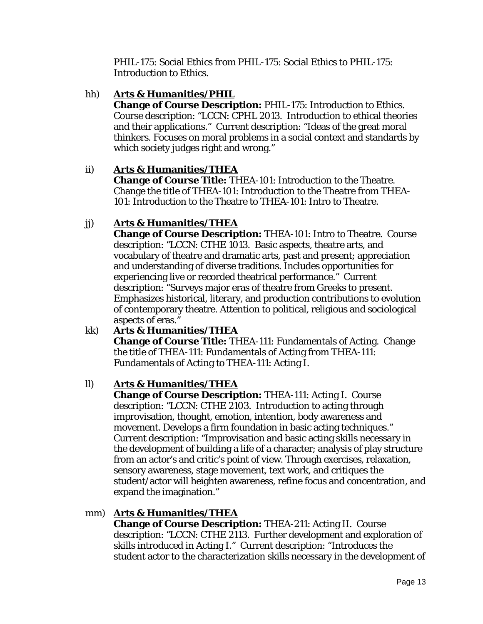PHIL-175: Social Ethics *from* PHIL-175: Social Ethics *to* PHIL-175: Introduction to Ethics.

# hh) **Arts & Humanities/PHIL**

**Change of Course Description:** PHIL-175: Introduction to Ethics. Course description: "LCCN: CPHL 2013. Introduction to ethical theories and their applications." Current description: "Ideas of the great moral thinkers. Focuses on moral problems in a social context and standards by which society judges right and wrong."

# ii) **Arts & Humanities/THEA**

**Change of Course Title:** THEA-101: Introduction to the Theatre. Change the title of THEA-101: Introduction to the Theatre *from* THEA-101: Introduction to the Theatre *to* THEA-101: Intro to Theatre.

# jj) **Arts & Humanities/THEA**

**Change of Course Description:** THEA-101: Intro to Theatre. Course description: "LCCN: CTHE 1013. Basic aspects, theatre arts, and vocabulary of theatre and dramatic arts, past and present; appreciation and understanding of diverse traditions. Includes opportunities for experiencing live or recorded theatrical performance." Current description: "Surveys major eras of theatre from Greeks to present. Emphasizes historical, literary, and production contributions to evolution of contemporary theatre. Attention to political, religious and sociological aspects of eras."

# kk) **Arts & Humanities/THEA**

**Change of Course Title:** THEA-111: Fundamentals of Acting. Change the title of THEA-111: Fundamentals of Acting *from* THEA-111: Fundamentals of Acting *to* THEA-111: Acting I.

# ll) **Arts & Humanities/THEA**

**Change of Course Description:** THEA-111: Acting I. Course description: "LCCN: CTHE 2103. Introduction to acting through improvisation, thought, emotion, intention, body awareness and movement. Develops a firm foundation in basic acting techniques." Current description: "Improvisation and basic acting skills necessary in the development of building a life of a character; analysis of play structure from an actor's and critic's point of view. Through exercises, relaxation, sensory awareness, stage movement, text work, and critiques the student/actor will heighten awareness, refine focus and concentration, and expand the imagination."

# mm) **Arts & Humanities/THEA**

**Change of Course Description:** THEA-211: Acting II. Course description: "LCCN: CTHE 2113. Further development and exploration of skills introduced in Acting I." Current description: "Introduces the student actor to the characterization skills necessary in the development of